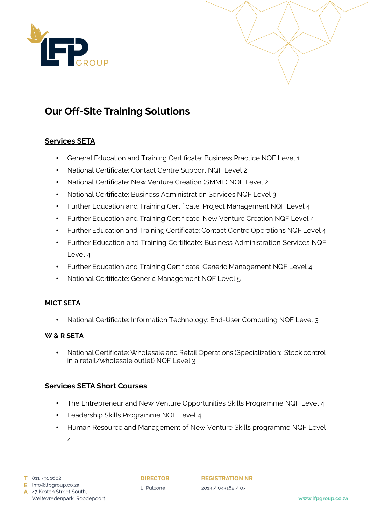



# **Our Off-Site Training Solutions**

# **Services SETA**

- General Education and Training Certificate: Business Practice NQF Level 1
- National Certificate: Contact Centre Support NQF Level 2
- National Certificate: New Venture Creation (SMME) NQF Level 2
- National Certificate: Business Administration Services NQF Level 3
- Further Education and Training Certificate: Project Management NQF Level 4
- Further Education and Training Certificate: New Venture Creation NQF Level 4
- Further Education and Training Certificate: Contact Centre Operations NQF Level 4
- Further Education and Training Certificate: Business Administration Services NQF Level 4
- Further Education and Training Certificate: Generic Management NQF Level 4
- National Certificate: Generic Management NQF Level 5

#### **MICT SETA**

• National Certificate: Information Technology: End-User Computing NQF Level 3

#### **W & R SETA**

• National Certificate: Wholesale and Retail Operations (Specialization: Stock control in a retail/wholesale outlet) NQF Level 3

## **Services SETA Short Courses**

- The Entrepreneur and New Venture Opportunities Skills Programme NQF Level 4
- Leadership Skills Programme NQF Level 4
- Human Resource and Management of New Venture Skills programme NQF Level
	- 4

Weltevredenpark, Roodepoort

A 47 Kroton Street South,

**DIRECTOR** L. Pulzone

**REGISTRATION NR** 2013 / 043162 / 07